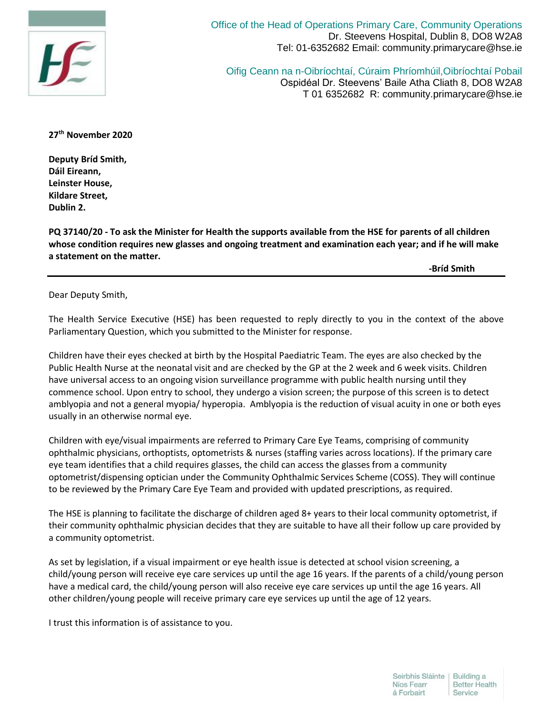

Office of the Head of Operations Primary Care, Community Operations Dr. Steevens Hospital, Dublin 8, DO8 W2A8 Tel: 01-6352682 Email: community.primarycare@hse.ie

Oifig Ceann na n-Oibríochtaí, Cúraim Phríomhúil,Oibríochtaí Pobail Ospidéal Dr. Steevens' Baile Atha Cliath 8, DO8 W2A8 T 01 6352682 R: community.primarycare@hse.ie

**27th November 2020**

**Deputy Bríd Smith, Dáil Eireann, Leinster House, Kildare Street, Dublin 2.**

**PQ 37140/20 - To ask the Minister for Health the supports available from the HSE for parents of all children whose condition requires new glasses and ongoing treatment and examination each year; and if he will make a statement on the matter.** 

 **-Bríd Smith**

Dear Deputy Smith,

The Health Service Executive (HSE) has been requested to reply directly to you in the context of the above Parliamentary Question, which you submitted to the Minister for response.

Children have their eyes checked at birth by the Hospital Paediatric Team. The eyes are also checked by the Public Health Nurse at the neonatal visit and are checked by the GP at the 2 week and 6 week visits. Children have universal access to an ongoing vision surveillance programme with public health nursing until they commence school. Upon entry to school, they undergo a vision screen; the purpose of this screen is to detect amblyopia and not a general myopia/ hyperopia. Amblyopia is the reduction of visual acuity in one or both eyes usually in an otherwise normal eye.

Children with eye/visual impairments are referred to Primary Care Eye Teams, comprising of community ophthalmic physicians, orthoptists, optometrists & nurses (staffing varies across locations). If the primary care eye team identifies that a child requires glasses, the child can access the glasses from a community optometrist/dispensing optician under the Community Ophthalmic Services Scheme (COSS). They will continue to be reviewed by the Primary Care Eye Team and provided with updated prescriptions, as required.

The HSE is planning to facilitate the discharge of children aged 8+ years to their local community optometrist, if their community ophthalmic physician decides that they are suitable to have all their follow up care provided by a community optometrist.

As set by legislation, if a visual impairment or eye health issue is detected at school vision screening, a child/young person will receive eye care services up until the age 16 years. If the parents of a child/young person have a medical card, the child/young person will also receive eye care services up until the age 16 years. All other children/young people will receive primary care eye services up until the age of 12 years.

I trust this information is of assistance to you.